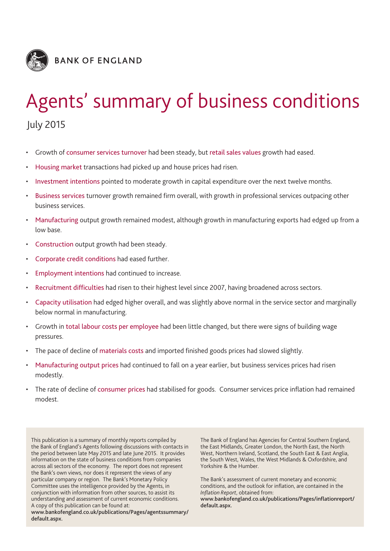

# Agents' summary of business conditions

July 2015

- Growth of consumer services turnover had been steady, but retail sales values growth had eased.
- Housing market transactions had picked up and house prices had risen.
- Investment intentions pointed to moderate growth in capital expenditure over the next twelve months.
- Business services turnover growth remained firm overall, with growth in professional services outpacing other business services.
- Manufacturing output growth remained modest, although growth in manufacturing exports had edged up from a low base.
- Construction output growth had been steady.
- Corporate credit conditions had eased further.
- Employment intentions had continued to increase.
- Recruitment difficulties had risen to their highest level since 2007, having broadened across sectors.
- Capacity utilisation had edged higher overall, and was slightly above normal in the service sector and marginally below normal in manufacturing.
- Growth in total labour costs per employee had been little changed, but there were signs of building wage pressures.
- The pace of decline of materials costs and imported finished goods prices had slowed slightly.
- Manufacturing output prices had continued to fall on a year earlier, but business services prices had risen modestly.
- The rate of decline of consumer prices had stabilised for goods. Consumer services price inflation had remained modest.

This publication is a summary of monthly reports compiled by the Bank of England's Agents following discussions with contacts in the period between late May 2015 and late June 2015. It provides information on the state of business conditions from companies across all sectors of the economy. The report does not represent the Bank's own views, nor does it represent the views of any particular company or region. The Bank's Monetary Policy Committee uses the intelligence provided by the Agents, in conjunction with information from other sources, to assist its understanding and assessment of current economic conditions. A copy of this publication can be found at:

**[www.bankofengland.co.uk/publications/Pages/agentssummary/](www.bankofengland.co.uk/publications/Pages/agentssummary/default.aspx) [default.aspx.](www.bankofengland.co.uk/publications/Pages/agentssummary/default.aspx)**

The Bank of England has Agencies for Central Southern England, the East Midlands, Greater London, the North East, the North West, Northern Ireland, Scotland, the South East & East Anglia, the South West, Wales, the West Midlands & Oxfordshire, and Yorkshire & the Humber.

The Bank's assessment of current monetary and economic conditions, and the outlook for inflation, are contained in the *Inflation Report*, obtained from: **[www.bankofengland.co.uk/publications/Pages/inflationreport/](www.bankofengland.co.uk/publications/Pages/inflationreport/default.aspx) [default.aspx.](www.bankofengland.co.uk/publications/Pages/inflationreport/default.aspx)**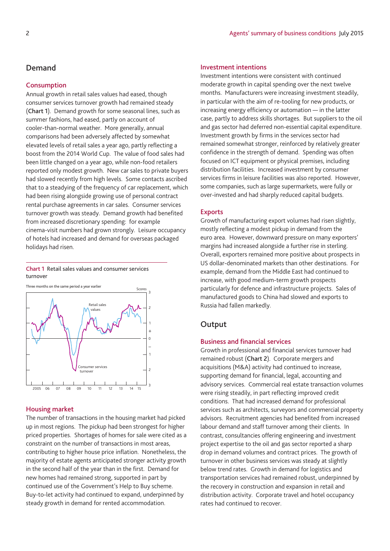## **Demand**

## **Consumption**

Annual growth in retail sales values had eased, though consumer services turnover growth had remained steady (**Chart 1**). Demand growth for some seasonal lines, such as summer fashions, had eased, partly on account of cooler-than-normal weather. More generally, annual comparisons had been adversely affected by somewhat elevated levels of retail sales a year ago, partly reflecting a boost from the 2014 World Cup. The value of food sales had been little changed on a year ago, while non-food retailers reported only modest growth. New car sales to private buyers had slowed recently from high levels. Some contacts ascribed that to a steadying of the frequency of car replacement, which had been rising alongside growing use of personal contract rental purchase agreements in car sales. Consumer services turnover growth was steady. Demand growth had benefited from increased discretionary spending: for example cinema-visit numbers had grown strongly. Leisure occupancy of hotels had increased and demand for overseas packaged holidays had risen.

**Chart 1** Retail sales values and consumer services turnover



## **Housing market**

The number of transactions in the housing market had picked up in most regions. The pickup had been strongest for higher priced properties. Shortages of homes for sale were cited as a constraint on the number of transactions in most areas, contributing to higher house price inflation. Nonetheless, the majority of estate agents anticipated stronger activity growth in the second half of the year than in the first. Demand for new homes had remained strong, supported in part by continued use of the Government's Help to Buy scheme. Buy-to-let activity had continued to expand, underpinned by steady growth in demand for rented accommodation.

## **Investment intentions**

Investment intentions were consistent with continued moderate growth in capital spending over the next twelve months. Manufacturers were increasing investment steadily, in particular with the aim of re-tooling for new products, or increasing energy efficiency or automation — in the latter case, partly to address skills shortages. But suppliers to the oil and gas sector had deferred non-essential capital expenditure. Investment growth by firms in the services sector had remained somewhat stronger, reinforced by relatively greater confidence in the strength of demand. Spending was often focused on ICT equipment or physical premises, including distribution facilities. Increased investment by consumer services firms in leisure facilities was also reported. However, some companies, such as large supermarkets, were fully or over-invested and had sharply reduced capital budgets.

#### **Exports**

Growth of manufacturing export volumes had risen slightly, mostly reflecting a modest pickup in demand from the euro area. However, downward pressure on many exporters' margins had increased alongside a further rise in sterling. Overall, exporters remained more positive about prospects in US dollar-denominated markets than other destinations. For example, demand from the Middle East had continued to increase, with good medium-term growth prospects particularly for defence and infrastructure projects. Sales of manufactured goods to China had slowed and exports to Russia had fallen markedly.

## **Output**

#### **Business and financial services**

Growth in professional and financial services turnover had remained robust (**Chart 2**). Corporate mergers and acquisitions (M&A) activity had continued to increase, supporting demand for financial, legal, accounting and advisory services. Commercial real estate transaction volumes were rising steadily, in part reflecting improved credit conditions. That had increased demand for professional services such as architects, surveyors and commercial property advisors. Recruitment agencies had benefited from increased labour demand and staff turnover among their clients. In contrast, consultancies offering engineering and investment project expertise to the oil and gas sector reported a sharp drop in demand volumes and contract prices. The growth of turnover in other business services was steady at slightly below trend rates. Growth in demand for logistics and transportation services had remained robust, underpinned by the recovery in construction and expansion in retail and distribution activity. Corporate travel and hotel occupancy rates had continued to recover.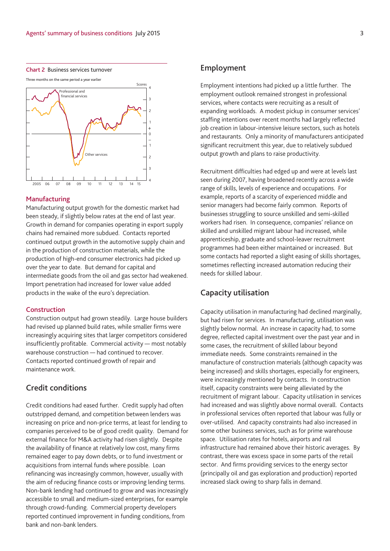

## **Manufacturing**

Manufacturing output growth for the domestic market had been steady, if slightly below rates at the end of last year. Growth in demand for companies operating in export supply chains had remained more subdued. Contacts reported continued output growth in the automotive supply chain and in the production of construction materials, while the production of high-end consumer electronics had picked up over the year to date. But demand for capital and intermediate goods from the oil and gas sector had weakened. Import penetration had increased for lower value added products in the wake of the euro's depreciation.

#### **Construction**

Construction output had grown steadily. Large house builders had revised up planned build rates, while smaller firms were increasingly acquiring sites that larger competitors considered insufficiently profitable. Commercial activity — most notably warehouse construction — had continued to recover. Contacts reported continued growth of repair and maintenance work.

# **Credit conditions**

Credit conditions had eased further. Credit supply had often outstripped demand, and competition between lenders was increasing on price and non-price terms, at least for lending to companies perceived to be of good credit quality. Demand for external finance for M&A activity had risen slightly. Despite the availability of finance at relatively low cost, many firms remained eager to pay down debts, or to fund investment or acquisitions from internal funds where possible. Loan refinancing was increasingly common, however, usually with the aim of reducing finance costs or improving lending terms. Non-bank lending had continued to grow and was increasingly accessible to small and medium-sized enterprises, for example through crowd-funding. Commercial property developers reported continued improvement in funding conditions, from bank and non-bank lenders.

# **Employment**

Employment intentions had picked up a little further. The employment outlook remained strongest in professional services, where contacts were recruiting as a result of expanding workloads. A modest pickup in consumer services' staffing intentions over recent months had largely reflected job creation in labour-intensive leisure sectors, such as hotels and restaurants. Only a minority of manufacturers anticipated significant recruitment this year, due to relatively subdued output growth and plans to raise productivity.

Recruitment difficulties had edged up and were at levels last seen during 2007, having broadened recently across a wide range of skills, levels of experience and occupations. For example, reports of a scarcity of experienced middle and senior managers had become fairly common. Reports of businesses struggling to source unskilled and semi-skilled workers had risen. In consequence, companies' reliance on skilled and unskilled migrant labour had increased, while apprenticeship, graduate and school-leaver recruitment programmes had been either maintained or increased. But some contacts had reported a slight easing of skills shortages, sometimes reflecting increased automation reducing their needs for skilled labour.

# **Capacity utilisation**

Capacity utilisation in manufacturing had declined marginally, but had risen for services. In manufacturing, utilisation was slightly below normal. An increase in capacity had, to some degree, reflected capital investment over the past year and in some cases, the recruitment of skilled labour beyond immediate needs. Some constraints remained in the manufacture of construction materials (although capacity was being increased) and skills shortages, especially for engineers, were increasingly mentioned by contacts. In construction itself, capacity constraints were being alleviated by the recruitment of migrant labour. Capacity utilisation in services had increased and was slightly above normal overall. Contacts in professional services often reported that labour was fully or over-utilised. And capacity constraints had also increased in some other business services, such as for prime warehouse space. Utilisation rates for hotels, airports and rail infrastructure had remained above their historic averages. By contrast, there was excess space in some parts of the retail sector. And firms providing services to the energy sector (principally oil and gas exploration and production) reported increased slack owing to sharp falls in demand.